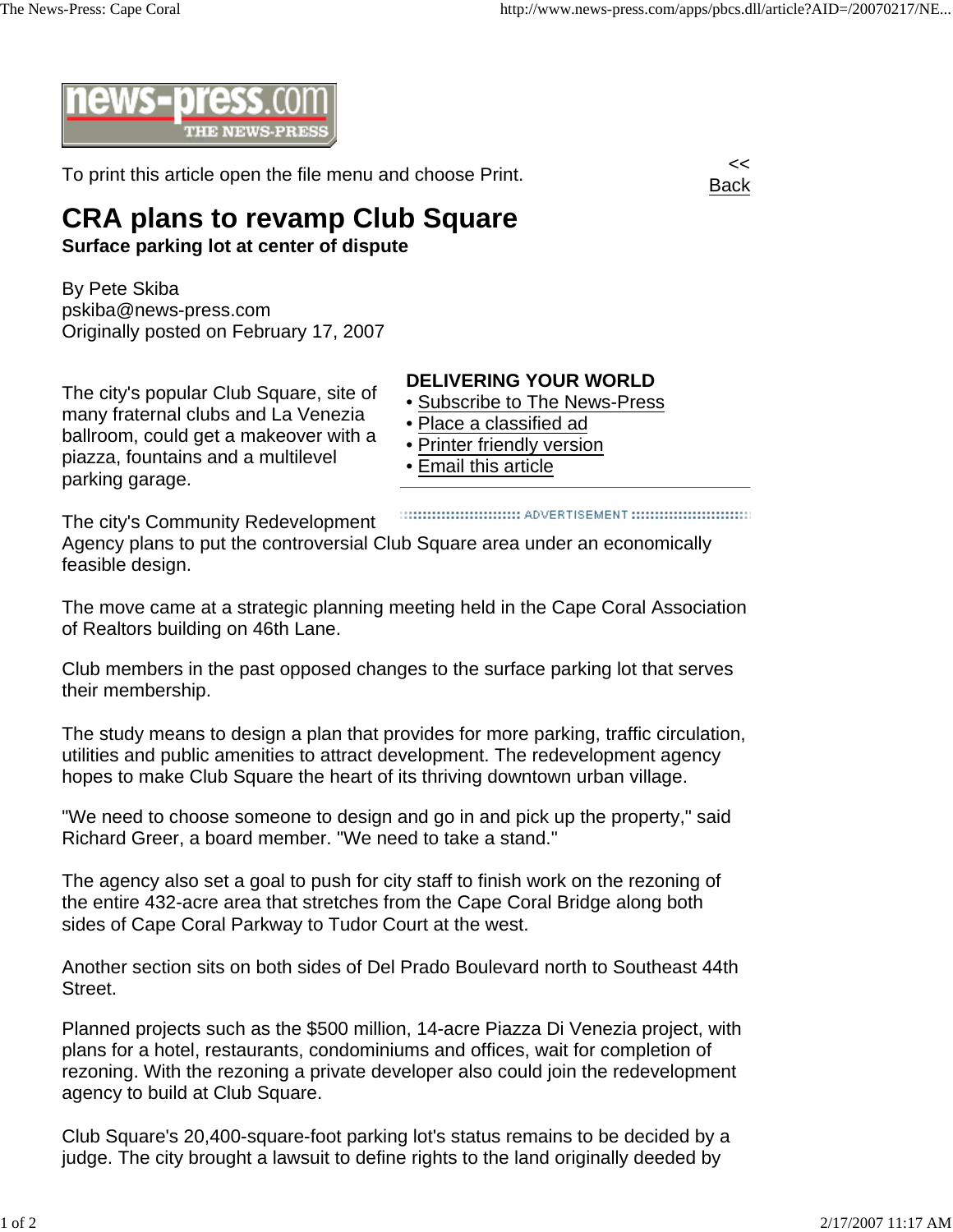

To print this article open the file menu and choose Print.



## **CRA plans to revamp Club Square**

**Surface parking lot at center of dispute**

By Pete Skiba pskiba@news-press.com Originally posted on February 17, 2007

The city's popular Club Square, site of many fraternal clubs and La Venezia ballroom, could get a makeover with a piazza, fountains and a multilevel parking garage.

## **DELIVERING YOUR WORLD**

- Subscribe to The News-Press
- Place a classified ad
- Printer friendly version
- Email this article

The city's Community Redevelopment Agency plans to put the controversial Club Square area under an economically feasible design.

The move came at a strategic planning meeting held in the Cape Coral Association of Realtors building on 46th Lane.

Club members in the past opposed changes to the surface parking lot that serves their membership.

The study means to design a plan that provides for more parking, traffic circulation, utilities and public amenities to attract development. The redevelopment agency hopes to make Club Square the heart of its thriving downtown urban village.

"We need to choose someone to design and go in and pick up the property," said Richard Greer, a board member. "We need to take a stand."

The agency also set a goal to push for city staff to finish work on the rezoning of the entire 432-acre area that stretches from the Cape Coral Bridge along both sides of Cape Coral Parkway to Tudor Court at the west.

Another section sits on both sides of Del Prado Boulevard north to Southeast 44th Street.

Planned projects such as the \$500 million, 14-acre Piazza Di Venezia project, with plans for a hotel, restaurants, condominiums and offices, wait for completion of rezoning. With the rezoning a private developer also could join the redevelopment agency to build at Club Square.

Club Square's 20,400-square-foot parking lot's status remains to be decided by a judge. The city brought a lawsuit to define rights to the land originally deeded by